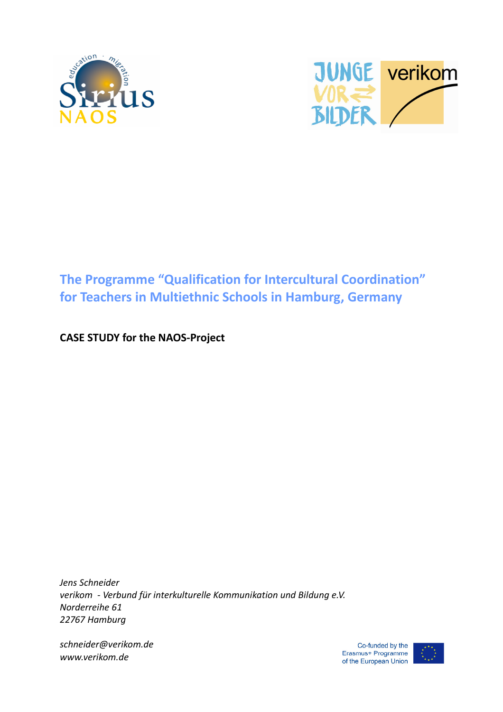



# **The Programme "Qualification for Intercultural Coordination" for Teachers in Multiethnic Schools in Hamburg, Germany**

## **CASE STUDY for the NAOS-Project**

*Jens Schneider verikom - Verbund für interkulturelle Kommunikation und Bildung e.V. Norderreihe 61 22767 Hamburg* 

*schneider@verikom.de www.verikom.de*

Co-funded by the Erasmus+ Programme of the European Union

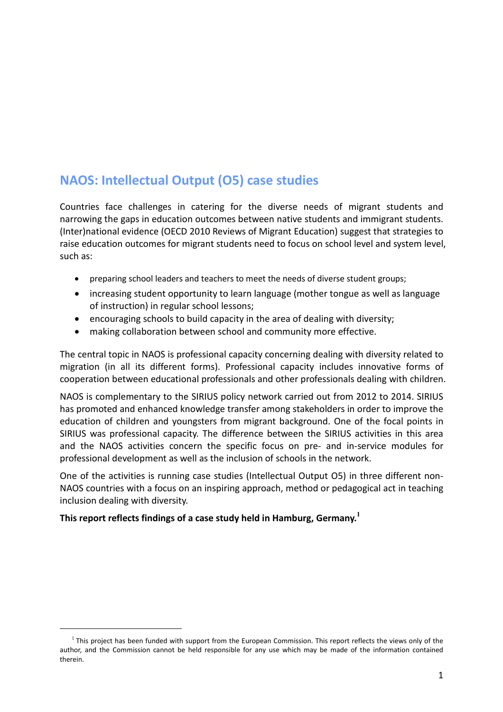# **NAOS: Intellectual Output (O5) case studies**

Countries face challenges in catering for the diverse needs of migrant students and narrowing the gaps in education outcomes between native students and immigrant students. (Inter)national evidence (OECD 2010 Reviews of Migrant Education) suggest that strategies to raise education outcomes for migrant students need to focus on school level and system level, such as:

- preparing school leaders and teachers to meet the needs of diverse student groups;
- increasing student opportunity to learn language (mother tongue as well as language of instruction) in regular school lessons;
- encouraging schools to build capacity in the area of dealing with diversity;
- making collaboration between school and community more effective.

The central topic in NAOS is professional capacity concerning dealing with diversity related to migration (in all its different forms). Professional capacity includes innovative forms of cooperation between educational professionals and other professionals dealing with children.

NAOS is complementary to the SIRIUS policy network carried out from 2012 to 2014. SIRIUS has promoted and enhanced knowledge transfer among stakeholders in order to improve the education of children and youngsters from migrant background. One of the focal points in SIRIUS was professional capacity. The difference between the SIRIUS activities in this area and the NAOS activities concern the specific focus on pre- and in-service modules for professional development as well as the inclusion of schools in the network.

One of the activities is running case studies (Intellectual Output O5) in three different non-NAOS countries with a focus on an inspiring approach, method or pedagogical act in teaching inclusion dealing with diversity.

### **This report reflects findings of a case study held in Hamburg, Germany.<sup>1</sup>**

l

 $<sup>1</sup>$  This project has been funded with support from the European Commission. This report reflects the views only of the</sup> author, and the Commission cannot be held responsible for any use which may be made of the information contained therein.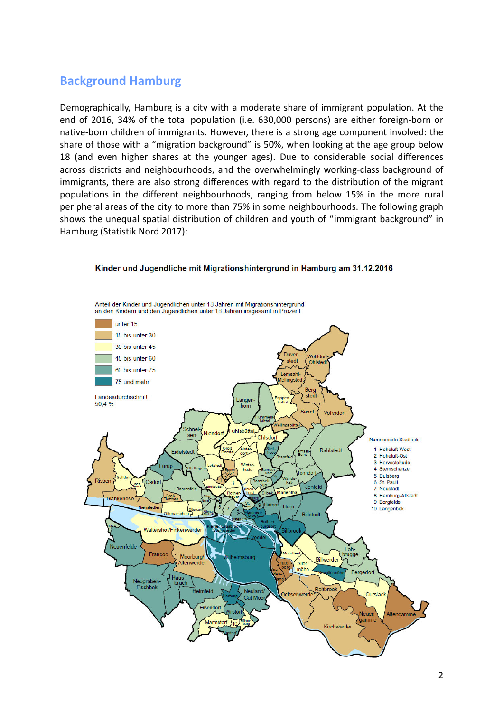## **Background Hamburg**

Demographically, Hamburg is a city with a moderate share of immigrant population. At the end of 2016, 34% of the total population (i.e. 630,000 persons) are either foreign-born or native-born children of immigrants. However, there is a strong age component involved: the share of those with a "migration background" is 50%, when looking at the age group below 18 (and even higher shares at the younger ages). Due to considerable social differences across districts and neighbourhoods, and the overwhelmingly working-class background of immigrants, there are also strong differences with regard to the distribution of the migrant populations in the different neighbourhoods, ranging from below 15% in the more rural peripheral areas of the city to more than 75% in some neighbourhoods. The following graph shows the unequal spatial distribution of children and youth of "immigrant background" in Hamburg (Statistik Nord 2017):



#### Kinder und Jugendliche mit Migrationshintergrund in Hamburg am 31.12.2016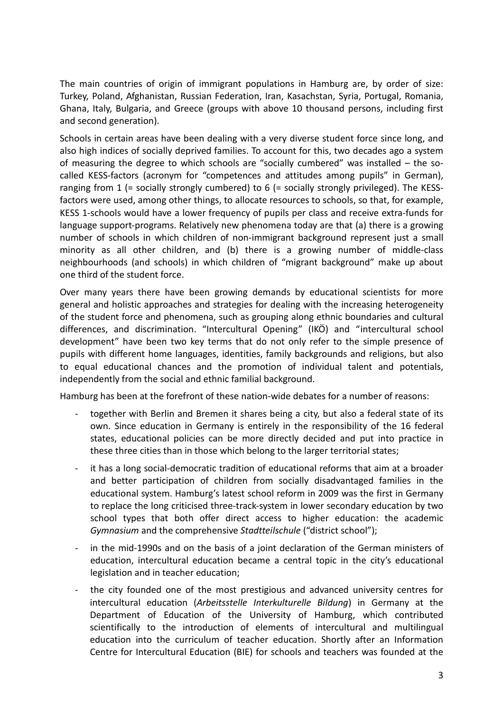The main countries of origin of immigrant populations in Hamburg are, by order of size: Turkey, Poland, Afghanistan, Russian Federation, Iran, Kasachstan, Syria, Portugal, Romania, Ghana, Italy, Bulgaria, and Greece (groups with above 10 thousand persons, including first and second generation).

Schools in certain areas have been dealing with a very diverse student force since long, and also high indices of socially deprived families. To account for this, two decades ago a system of measuring the degree to which schools are "socially cumbered" was installed – the socalled KESS-factors (acronym for "competences and attitudes among pupils" in German), ranging from 1 (= socially strongly cumbered) to 6 (= socially strongly privileged). The KESSfactors were used, among other things, to allocate resources to schools, so that, for example, KESS 1-schools would have a lower frequency of pupils per class and receive extra-funds for language support-programs. Relatively new phenomena today are that (a) there is a growing number of schools in which children of non-immigrant background represent just a small minority as all other children, and (b) there is a growing number of middle-class neighbourhoods (and schools) in which children of "migrant background" make up about one third of the student force.

Over many years there have been growing demands by educational scientists for more general and holistic approaches and strategies for dealing with the increasing heterogeneity of the student force and phenomena, such as grouping along ethnic boundaries and cultural differences, and discrimination. "Intercultural Opening" (IKÖ) and "intercultural school development" have been two key terms that do not only refer to the simple presence of pupils with different home languages, identities, family backgrounds and religions, but also to equal educational chances and the promotion of individual talent and potentials, independently from the social and ethnic familial background.

Hamburg has been at the forefront of these nation-wide debates for a number of reasons:

- together with Berlin and Bremen it shares being a city, but also a federal state of its own. Since education in Germany is entirely in the responsibility of the 16 federal states, educational policies can be more directly decided and put into practice in these three cities than in those which belong to the larger territorial states;
- it has a long social-democratic tradition of educational reforms that aim at a broader and better participation of children from socially disadvantaged families in the educational system. Hamburg's latest school reform in 2009 was the first in Germany to replace the long criticised three-track-system in lower secondary education by two school types that both offer direct access to higher education: the academic *Gymnasium* and the comprehensive *Stadtteilschule* ("district school");
- in the mid-1990s and on the basis of a joint declaration of the German ministers of education, intercultural education became a central topic in the city's educational legislation and in teacher education;
- the city founded one of the most prestigious and advanced university centres for intercultural education (*Arbeitsstelle Interkulturelle Bildung*) in Germany at the Department of Education of the University of Hamburg, which contributed scientifically to the introduction of elements of intercultural and multilingual education into the curriculum of teacher education. Shortly after an Information Centre for Intercultural Education (BIE) for schools and teachers was founded at the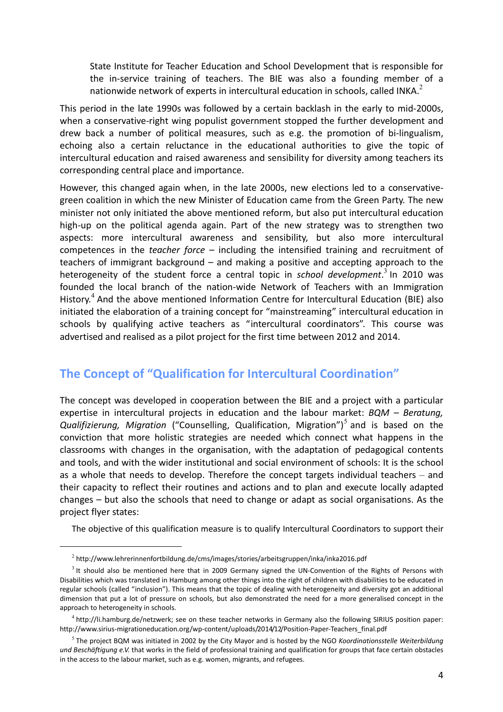State Institute for Teacher Education and School Development that is responsible for the in-service training of teachers. The BIE was also a founding member of a nationwide network of experts in intercultural education in schools, called INKA. $^2$ 

This period in the late 1990s was followed by a certain backlash in the early to mid-2000s, when a conservative-right wing populist government stopped the further development and drew back a number of political measures, such as e.g. the promotion of bi-lingualism, echoing also a certain reluctance in the educational authorities to give the topic of intercultural education and raised awareness and sensibility for diversity among teachers its corresponding central place and importance.

However, this changed again when, in the late 2000s, new elections led to a conservativegreen coalition in which the new Minister of Education came from the Green Party. The new minister not only initiated the above mentioned reform, but also put intercultural education high-up on the political agenda again. Part of the new strategy was to strengthen two aspects: more intercultural awareness and sensibility, but also more intercultural competences in the *teacher force* – including the intensified training and recruitment of teachers of immigrant background – and making a positive and accepting approach to the heterogeneity of the student force a central topic in *school development*.<sup>3</sup> In 2010 was founded the local branch of the nation-wide Network of Teachers with an Immigration History.<sup>4</sup> And the above mentioned Information Centre for Intercultural Education (BIE) also initiated the elaboration of a training concept for "mainstreaming" intercultural education in schools by qualifying active teachers as "intercultural coordinators". This course was advertised and realised as a pilot project for the first time between 2012 and 2014.

## **The Concept of "Qualification for Intercultural Coordination"**

The concept was developed in cooperation between the BIE and a project with a particular expertise in intercultural projects in education and the labour market: *BQM – Beratung,*  Qualifizierung, Migration ("Counselling, Qualification, Migration")<sup>5</sup> and is based on the conviction that more holistic strategies are needed which connect what happens in the classrooms with changes in the organisation, with the adaptation of pedagogical contents and tools, and with the wider institutional and social environment of schools: It is the school as a whole that needs to develop. Therefore the concept targets individual teachers – and their capacity to reflect their routines and actions and to plan and execute locally adapted changes – but also the schools that need to change or adapt as social organisations. As the project flyer states:

The objective of this qualification measure is to qualify Intercultural Coordinators to support their

j

 $^2$  http://www.lehrerinnenfortbildung.de/cms/images/stories/arbeitsgruppen/inka/inka2016.pdf

 $3$  It should also be mentioned here that in 2009 Germany signed the UN-Convention of the Rights of Persons with Disabilities which was translated in Hamburg among other things into the right of children with disabilities to be educated in regular schools (called "inclusion"). This means that the topic of dealing with heterogeneity and diversity got an additional dimension that put a lot of pressure on schools, but also demonstrated the need for a more generalised concept in the approach to heterogeneity in schools.

<sup>&</sup>lt;sup>4</sup> http://li.hamburg.de/netzwerk; see on these teacher networks in Germany also the following SIRIUS position paper: http://www.sirius-migrationeducation.org/wp-content/uploads/2014/12/Position-Paper-Teachers\_final.pdf

<sup>5</sup> The project BQM was initiated in 2002 by the City Mayor and is hosted by the NGO *Koordinationsstelle Weiterbildung und Beschäftigung e.V.* that works in the field of professional training and qualification for groups that face certain obstacles in the access to the labour market, such as e.g. women, migrants, and refugees.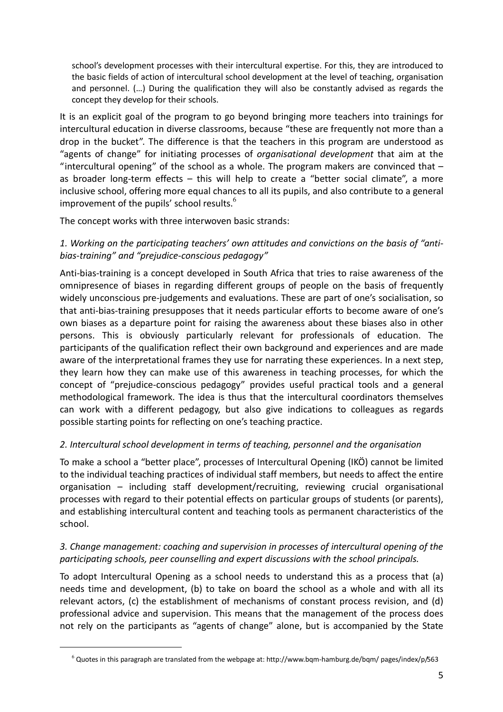school's development processes with their intercultural expertise. For this, they are introduced to the basic fields of action of intercultural school development at the level of teaching, organisation and personnel. (…) During the qualification they will also be constantly advised as regards the concept they develop for their schools.

It is an explicit goal of the program to go beyond bringing more teachers into trainings for intercultural education in diverse classrooms, because "these are frequently not more than a drop in the bucket". The difference is that the teachers in this program are understood as "agents of change" for initiating processes of *organisational development* that aim at the "intercultural opening" of the school as a whole. The program makers are convinced that  $$ as broader long-term effects – this will help to create a "better social climate", a more inclusive school, offering more equal chances to all its pupils, and also contribute to a general improvement of the pupils' school results.<sup>6</sup>

The concept works with three interwoven basic strands:

### *1. Working on the participating teachers' own attitudes and convictions on the basis of "antibias-training" and "prejudice-conscious pedagogy"*

Anti-bias-training is a concept developed in South Africa that tries to raise awareness of the omnipresence of biases in regarding different groups of people on the basis of frequently widely unconscious pre-judgements and evaluations. These are part of one's socialisation, so that anti-bias-training presupposes that it needs particular efforts to become aware of one's own biases as a departure point for raising the awareness about these biases also in other persons. This is obviously particularly relevant for professionals of education. The participants of the qualification reflect their own background and experiences and are made aware of the interpretational frames they use for narrating these experiences. In a next step, they learn how they can make use of this awareness in teaching processes, for which the concept of "prejudice-conscious pedagogy" provides useful practical tools and a general methodological framework. The idea is thus that the intercultural coordinators themselves can work with a different pedagogy, but also give indications to colleagues as regards possible starting points for reflecting on one's teaching practice.

### *2. Intercultural school development in terms of teaching, personnel and the organisation*

To make a school a "better place", processes of Intercultural Opening (IKÖ) cannot be limited to the individual teaching practices of individual staff members, but needs to affect the entire organisation – including staff development/recruiting, reviewing crucial organisational processes with regard to their potential effects on particular groups of students (or parents), and establishing intercultural content and teaching tools as permanent characteristics of the school.

### *3. Change management: coaching and supervision in processes of intercultural opening of the participating schools, peer counselling and expert discussions with the school principals.*

To adopt Intercultural Opening as a school needs to understand this as a process that (a) needs time and development, (b) to take on board the school as a whole and with all its relevant actors, (c) the establishment of mechanisms of constant process revision, and (d) professional advice and supervision. This means that the management of the process does not rely on the participants as "agents of change" alone, but is accompanied by the State

j

 $^6$  Quotes in this paragraph are translated from the webpage at: http://www.bqm-hamburg.de/bqm/ pages/index/p/563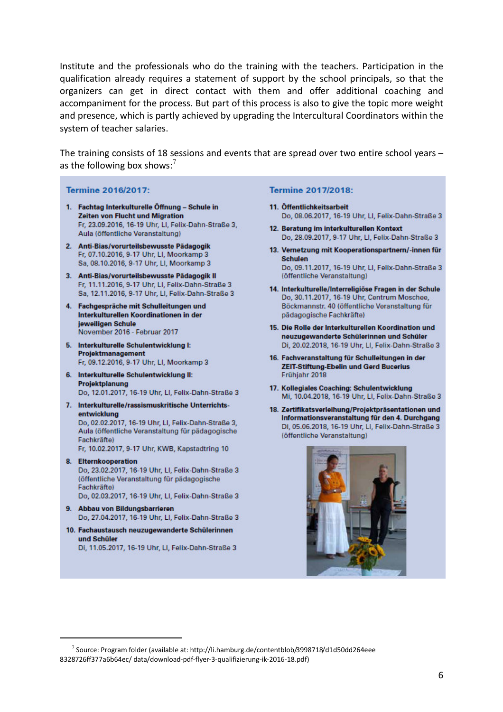Institute and the professionals who do the training with the teachers. Participation in the qualification already requires a statement of support by the school principals, so that the organizers can get in direct contact with them and offer additional coaching and accompaniment for the process. But part of this process is also to give the topic more weight and presence, which is partly achieved by upgrading the Intercultural Coordinators within the system of teacher salaries.

The training consists of 18 sessions and events that are spread over two entire school years – as the following box shows:<sup>7</sup>

#### **Termine 2016/2017:**

- 1. Fachtag Interkulturelle Öffnung Schule in **Zeiten von Flucht und Migration** Fr, 23.09.2016, 16-19 Uhr, LI, Felix-Dahn-Straße 3, Aula (öffentliche Veranstaltung)
- 2. Anti-Bias/vorurteilsbewusste Pädagogik Fr, 07.10.2016, 9-17 Uhr, LI, Moorkamp 3 Sa, 08.10.2016, 9-17 Uhr, Ll, Moorkamp 3
- 3. Anti-Bias/vorurteilsbewusste Pädagogik II Fr. 11.11.2016, 9-17 Uhr, Ll, Felix-Dahn-Straße 3 Sa, 12.11.2016, 9-17 Uhr, LI, Felix-Dahn-Straße 3
- 4. Fachgespräche mit Schulleitungen und Interkulturellen Koordinationen in der jeweiligen Schule November 2016 - Februar 2017
- 5. Interkulturelle Schulentwicklung I: Projektmanagement Fr, 09.12.2016, 9-17 Uhr, LI, Moorkamp 3
- 6. Interkulturelle Schulentwicklung II: Projektplanung Do, 12.01.2017, 16-19 Uhr, LI, Felix-Dahn-Straße 3
- 7. Interkulturelle/rassismuskritische Unterrichtsentwicklung

Do, 02.02.2017, 16-19 Uhr, LI, Felix-Dahn-Straße 3, Aula (öffentliche Veranstaltung für pädagogische Fachkräftel

Fr, 10.02.2017, 9-17 Uhr, KWB, Kapstadtring 10

- 8. Elternkooperation Do, 23.02.2017, 16-19 Uhr, LI, Felix-Dahn-Straße 3 (öffentliche Veranstaltung für pädagogische Fachkräfte) Do, 02.03.2017, 16-19 Uhr, LI, Felix-Dahn-Straße 3
- 9. Abbau von Bildungsbarrieren Do, 27.04.2017, 16-19 Uhr, Ll, Felix-Dahn-Straße 3
- 10. Fachaustausch neuzugewanderte Schülerinnen und Schüler Di, 11.05.2017, 16-19 Uhr, Ll, Felix-Dahn-Straße 3

j

#### **Termine 2017/2018:**

- 11. Öffentlichkeitsarbeit Do, 08.06.2017, 16-19 Uhr, LI, Felix-Dahn-Straße 3
- 12. Beratung im interkulturellen Kontext Do. 28.09.2017, 9-17 Uhr, Ll, Felix-Dahn-Straße 3
- 13. Vernetzung mit Kooperationspartnern/-innen für **Schulen** Do, 09.11.2017, 16-19 Uhr, LI, Felix-Dahn-Straße 3 (öffentliche Veranstaltung)
- 14. Interkulturelle/Interreligiöse Fragen in der Schule Do, 30.11.2017, 16-19 Uhr, Centrum Moschee, Böckmannstr. 40 (öffentliche Veranstaltung für pädagogische Fachkräfte)
- 15. Die Rolle der Interkulturellen Koordination und neuzugewanderte Schülerinnen und Schüler Di, 20.02.2018, 16-19 Uhr, LI, Felix-Dahn-Straße 3
- 16. Fachveranstaltung für Schulleitungen in der **ZEIT-Stiftung-Ebelin und Gerd Bucerius** Frühjahr 2018
- 17. Kollegiales Coaching: Schulentwicklung Mi, 10.04.2018, 16-19 Uhr, LI, Felix-Dahn-Straße 3
- 18. Zertifikatsverleihung/Projektpräsentationen und Informationsveranstaltung für den 4. Durchgang Di, 05.06.2018, 16-19 Uhr, LI, Felix-Dahn-Straße 3 (öffentliche Veranstaltung)



<sup>&</sup>lt;sup>7</sup> Source: Program folder (available at: http://li.hamburg.de/contentblob/3998718/d1d50dd264eee 8328726ff377a6b64ec/ data/download-pdf-flyer-3-qualifizierung-ik-2016-18.pdf)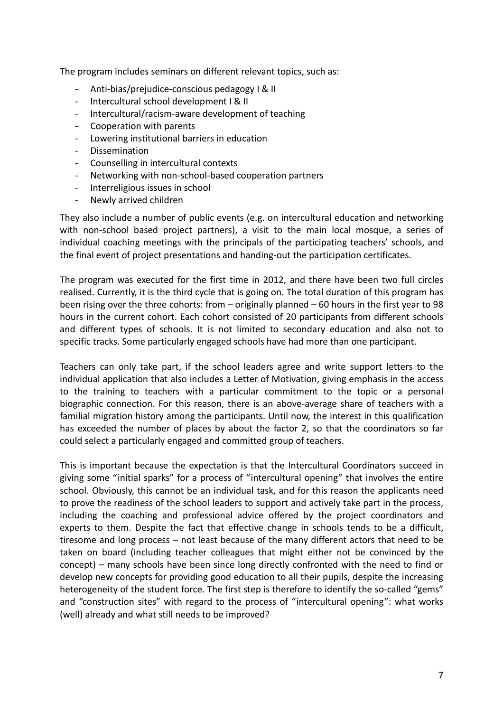The program includes seminars on different relevant topics, such as:

- Anti-bias/prejudice-conscious pedagogy I & II
- Intercultural school development I & II
- Intercultural/racism-aware development of teaching
- Cooperation with parents
- Lowering institutional barriers in education
- Dissemination
- Counselling in intercultural contexts
- Networking with non-school-based cooperation partners
- Interreligious issues in school
- Newly arrived children

They also include a number of public events (e.g. on intercultural education and networking with non-school based project partners), a visit to the main local mosque, a series of individual coaching meetings with the principals of the participating teachers' schools, and the final event of project presentations and handing-out the participation certificates.

The program was executed for the first time in 2012, and there have been two full circles realised. Currently, it is the third cycle that is going on. The total duration of this program has been rising over the three cohorts: from – originally planned – 60 hours in the first year to 98 hours in the current cohort. Each cohort consisted of 20 participants from different schools and different types of schools. It is not limited to secondary education and also not to specific tracks. Some particularly engaged schools have had more than one participant.

Teachers can only take part, if the school leaders agree and write support letters to the individual application that also includes a Letter of Motivation, giving emphasis in the access to the training to teachers with a particular commitment to the topic or a personal biographic connection. For this reason, there is an above-average share of teachers with a familial migration history among the participants. Until now, the interest in this qualification has exceeded the number of places by about the factor 2, so that the coordinators so far could select a particularly engaged and committed group of teachers.

This is important because the expectation is that the Intercultural Coordinators succeed in giving some "initial sparks" for a process of "intercultural opening" that involves the entire school. Obviously, this cannot be an individual task, and for this reason the applicants need to prove the readiness of the school leaders to support and actively take part in the process, including the coaching and professional advice offered by the project coordinators and experts to them. Despite the fact that effective change in schools tends to be a difficult, tiresome and long process – not least because of the many different actors that need to be taken on board (including teacher colleagues that might either not be convinced by the concept) – many schools have been since long directly confronted with the need to find or develop new concepts for providing good education to all their pupils, despite the increasing heterogeneity of the student force. The first step is therefore to identify the so-called "gems" and "construction sites" with regard to the process of "intercultural opening": what works (well) already and what still needs to be improved?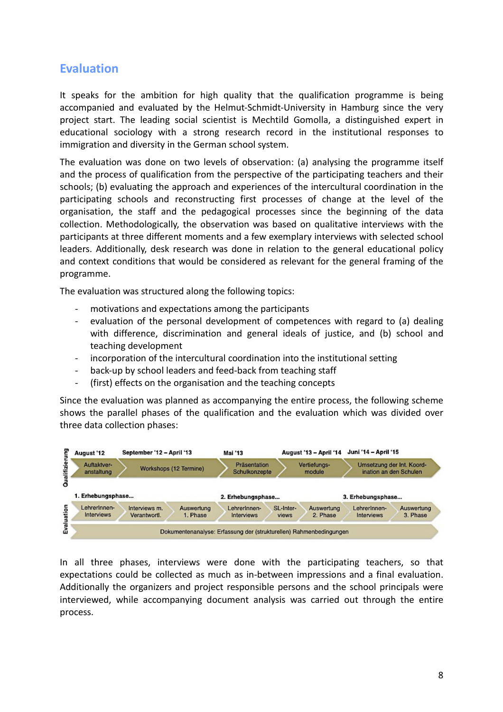## **Evaluation**

It speaks for the ambition for high quality that the qualification programme is being accompanied and evaluated by the Helmut-Schmidt-University in Hamburg since the very project start. The leading social scientist is Mechtild Gomolla, a distinguished expert in educational sociology with a strong research record in the institutional responses to immigration and diversity in the German school system.

The evaluation was done on two levels of observation: (a) analysing the programme itself and the process of qualification from the perspective of the participating teachers and their schools; (b) evaluating the approach and experiences of the intercultural coordination in the participating schools and reconstructing first processes of change at the level of the organisation, the staff and the pedagogical processes since the beginning of the data collection. Methodologically, the observation was based on qualitative interviews with the participants at three different moments and a few exemplary interviews with selected school leaders. Additionally, desk research was done in relation to the general educational policy and context conditions that would be considered as relevant for the general framing of the programme.

The evaluation was structured along the following topics:

- motivations and expectations among the participants
- evaluation of the personal development of competences with regard to (a) dealing with difference, discrimination and general ideals of justice, and (b) school and teaching development
- incorporation of the intercultural coordination into the institutional setting
- back-up by school leaders and feed-back from teaching staff
- (first) effects on the organisation and the teaching concepts

Since the evaluation was planned as accompanying the entire process, the following scheme shows the parallel phases of the qualification and the evaluation which was divided over three data collection phases:



In all three phases, interviews were done with the participating teachers, so that expectations could be collected as much as in-between impressions and a final evaluation. Additionally the organizers and project responsible persons and the school principals were interviewed, while accompanying document analysis was carried out through the entire process.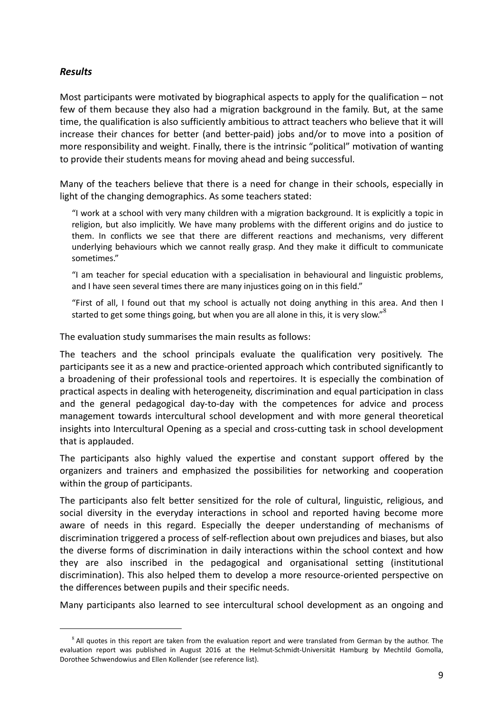### *Results*

l

Most participants were motivated by biographical aspects to apply for the qualification  $-$  not few of them because they also had a migration background in the family. But, at the same time, the qualification is also sufficiently ambitious to attract teachers who believe that it will increase their chances for better (and better-paid) jobs and/or to move into a position of more responsibility and weight. Finally, there is the intrinsic "political" motivation of wanting to provide their students means for moving ahead and being successful.

Many of the teachers believe that there is a need for change in their schools, especially in light of the changing demographics. As some teachers stated:

"I work at a school with very many children with a migration background. It is explicitly a topic in religion, but also implicitly. We have many problems with the different origins and do justice to them. In conflicts we see that there are different reactions and mechanisms, very different underlying behaviours which we cannot really grasp. And they make it difficult to communicate sometimes."

"I am teacher for special education with a specialisation in behavioural and linguistic problems, and I have seen several times there are many injustices going on in this field."

"First of all, I found out that my school is actually not doing anything in this area. And then I started to get some things going, but when you are all alone in this, it is very slow."<sup>8</sup>

The evaluation study summarises the main results as follows:

The teachers and the school principals evaluate the qualification very positively. The participants see it as a new and practice-oriented approach which contributed significantly to a broadening of their professional tools and repertoires. It is especially the combination of practical aspects in dealing with heterogeneity, discrimination and equal participation in class and the general pedagogical day-to-day with the competences for advice and process management towards intercultural school development and with more general theoretical insights into Intercultural Opening as a special and cross-cutting task in school development that is applauded.

The participants also highly valued the expertise and constant support offered by the organizers and trainers and emphasized the possibilities for networking and cooperation within the group of participants.

The participants also felt better sensitized for the role of cultural, linguistic, religious, and social diversity in the everyday interactions in school and reported having become more aware of needs in this regard. Especially the deeper understanding of mechanisms of discrimination triggered a process of self-reflection about own prejudices and biases, but also the diverse forms of discrimination in daily interactions within the school context and how they are also inscribed in the pedagogical and organisational setting (institutional discrimination). This also helped them to develop a more resource-oriented perspective on the differences between pupils and their specific needs.

Many participants also learned to see intercultural school development as an ongoing and

 $8$  All quotes in this report are taken from the evaluation report and were translated from German by the author. The evaluation report was published in August 2016 at the Helmut-Schmidt-Universität Hamburg by Mechtild Gomolla, Dorothee Schwendowius and Ellen Kollender (see reference list).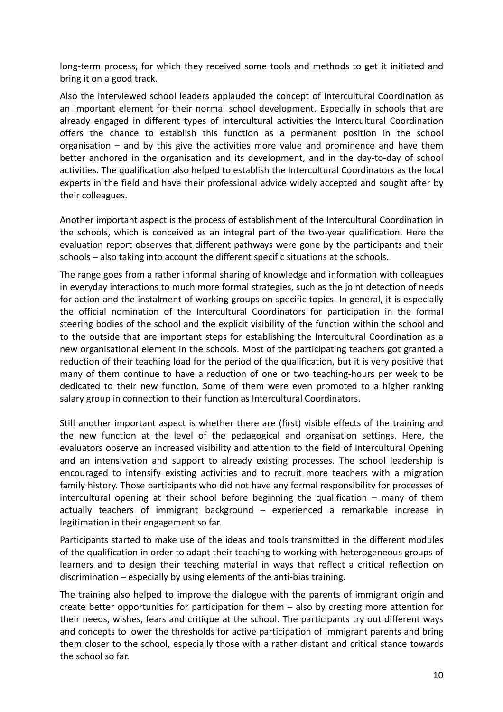long-term process, for which they received some tools and methods to get it initiated and bring it on a good track.

Also the interviewed school leaders applauded the concept of Intercultural Coordination as an important element for their normal school development. Especially in schools that are already engaged in different types of intercultural activities the Intercultural Coordination offers the chance to establish this function as a permanent position in the school organisation – and by this give the activities more value and prominence and have them better anchored in the organisation and its development, and in the day-to-day of school activities. The qualification also helped to establish the Intercultural Coordinators as the local experts in the field and have their professional advice widely accepted and sought after by their colleagues.

Another important aspect is the process of establishment of the Intercultural Coordination in the schools, which is conceived as an integral part of the two-year qualification. Here the evaluation report observes that different pathways were gone by the participants and their schools – also taking into account the different specific situations at the schools.

The range goes from a rather informal sharing of knowledge and information with colleagues in everyday interactions to much more formal strategies, such as the joint detection of needs for action and the instalment of working groups on specific topics. In general, it is especially the official nomination of the Intercultural Coordinators for participation in the formal steering bodies of the school and the explicit visibility of the function within the school and to the outside that are important steps for establishing the Intercultural Coordination as a new organisational element in the schools. Most of the participating teachers got granted a reduction of their teaching load for the period of the qualification, but it is very positive that many of them continue to have a reduction of one or two teaching-hours per week to be dedicated to their new function. Some of them were even promoted to a higher ranking salary group in connection to their function as Intercultural Coordinators.

Still another important aspect is whether there are (first) visible effects of the training and the new function at the level of the pedagogical and organisation settings. Here, the evaluators observe an increased visibility and attention to the field of Intercultural Opening and an intensivation and support to already existing processes. The school leadership is encouraged to intensify existing activities and to recruit more teachers with a migration family history. Those participants who did not have any formal responsibility for processes of intercultural opening at their school before beginning the qualification – many of them actually teachers of immigrant background – experienced a remarkable increase in legitimation in their engagement so far.

Participants started to make use of the ideas and tools transmitted in the different modules of the qualification in order to adapt their teaching to working with heterogeneous groups of learners and to design their teaching material in ways that reflect a critical reflection on discrimination – especially by using elements of the anti-bias training.

The training also helped to improve the dialogue with the parents of immigrant origin and create better opportunities for participation for them – also by creating more attention for their needs, wishes, fears and critique at the school. The participants try out different ways and concepts to lower the thresholds for active participation of immigrant parents and bring them closer to the school, especially those with a rather distant and critical stance towards the school so far.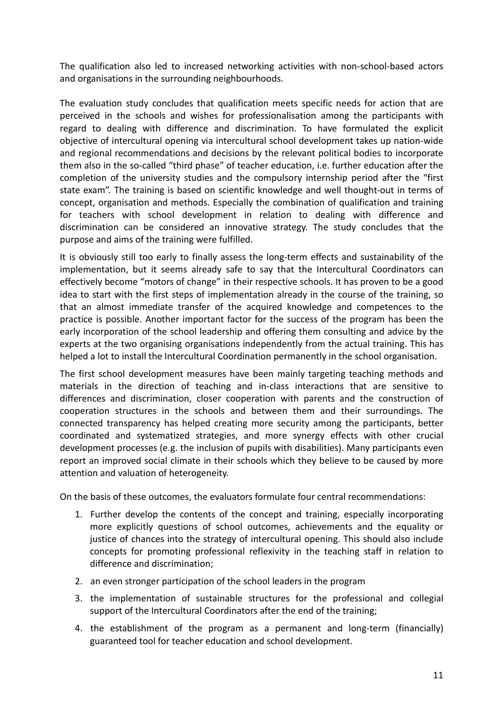The qualification also led to increased networking activities with non-school-based actors and organisations in the surrounding neighbourhoods.

The evaluation study concludes that qualification meets specific needs for action that are perceived in the schools and wishes for professionalisation among the participants with regard to dealing with difference and discrimination. To have formulated the explicit objective of intercultural opening via intercultural school development takes up nation-wide and regional recommendations and decisions by the relevant political bodies to incorporate them also in the so-called "third phase" of teacher education, i.e. further education after the completion of the university studies and the compulsory internship period after the "first state exam". The training is based on scientific knowledge and well thought-out in terms of concept, organisation and methods. Especially the combination of qualification and training for teachers with school development in relation to dealing with difference and discrimination can be considered an innovative strategy. The study concludes that the purpose and aims of the training were fulfilled.

It is obviously still too early to finally assess the long-term effects and sustainability of the implementation, but it seems already safe to say that the Intercultural Coordinators can effectively become "motors of change" in their respective schools. It has proven to be a good idea to start with the first steps of implementation already in the course of the training, so that an almost immediate transfer of the acquired knowledge and competences to the practice is possible. Another important factor for the success of the program has been the early incorporation of the school leadership and offering them consulting and advice by the experts at the two organising organisations independently from the actual training. This has helped a lot to install the Intercultural Coordination permanently in the school organisation.

The first school development measures have been mainly targeting teaching methods and materials in the direction of teaching and in-class interactions that are sensitive to differences and discrimination, closer cooperation with parents and the construction of cooperation structures in the schools and between them and their surroundings. The connected transparency has helped creating more security among the participants, better coordinated and systematized strategies, and more synergy effects with other crucial development processes (e.g. the inclusion of pupils with disabilities). Many participants even report an improved social climate in their schools which they believe to be caused by more attention and valuation of heterogeneity.

On the basis of these outcomes, the evaluators formulate four central recommendations:

- 1. Further develop the contents of the concept and training, especially incorporating more explicitly questions of school outcomes, achievements and the equality or justice of chances into the strategy of intercultural opening. This should also include concepts for promoting professional reflexivity in the teaching staff in relation to difference and discrimination;
- 2. an even stronger participation of the school leaders in the program
- 3. the implementation of sustainable structures for the professional and collegial support of the Intercultural Coordinators after the end of the training;
- 4. the establishment of the program as a permanent and long-term (financially) guaranteed tool for teacher education and school development.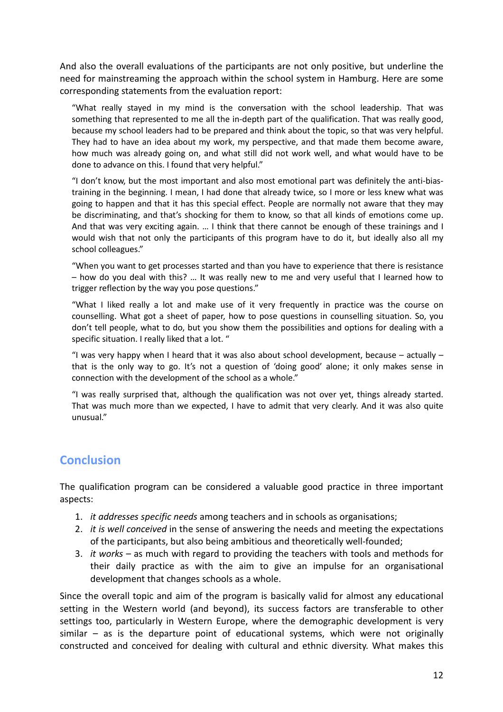And also the overall evaluations of the participants are not only positive, but underline the need for mainstreaming the approach within the school system in Hamburg. Here are some corresponding statements from the evaluation report:

"What really stayed in my mind is the conversation with the school leadership. That was something that represented to me all the in-depth part of the qualification. That was really good, because my school leaders had to be prepared and think about the topic, so that was very helpful. They had to have an idea about my work, my perspective, and that made them become aware, how much was already going on, and what still did not work well, and what would have to be done to advance on this. I found that very helpful."

"I don't know, but the most important and also most emotional part was definitely the anti-biastraining in the beginning. I mean, I had done that already twice, so I more or less knew what was going to happen and that it has this special effect. People are normally not aware that they may be discriminating, and that's shocking for them to know, so that all kinds of emotions come up. And that was very exciting again. … I think that there cannot be enough of these trainings and I would wish that not only the participants of this program have to do it, but ideally also all my school colleagues."

"When you want to get processes started and than you have to experience that there is resistance – how do you deal with this? … It was really new to me and very useful that I learned how to trigger reflection by the way you pose questions."

"What I liked really a lot and make use of it very frequently in practice was the course on counselling. What got a sheet of paper, how to pose questions in counselling situation. So, you don't tell people, what to do, but you show them the possibilities and options for dealing with a specific situation. I really liked that a lot. "

"I was very happy when I heard that it was also about school development, because  $-$  actually  $$ that is the only way to go. It's not a question of 'doing good' alone; it only makes sense in connection with the development of the school as a whole."

"I was really surprised that, although the qualification was not over yet, things already started. That was much more than we expected, I have to admit that very clearly. And it was also quite unusual."

## **Conclusion**

The qualification program can be considered a valuable good practice in three important aspects:

- 1. *it addresses specific needs* among teachers and in schools as organisations;
- 2. *it is well conceived* in the sense of answering the needs and meeting the expectations of the participants, but also being ambitious and theoretically well-founded;
- 3. *it works* as much with regard to providing the teachers with tools and methods for their daily practice as with the aim to give an impulse for an organisational development that changes schools as a whole.

Since the overall topic and aim of the program is basically valid for almost any educational setting in the Western world (and beyond), its success factors are transferable to other settings too, particularly in Western Europe, where the demographic development is very similar – as is the departure point of educational systems, which were not originally constructed and conceived for dealing with cultural and ethnic diversity. What makes this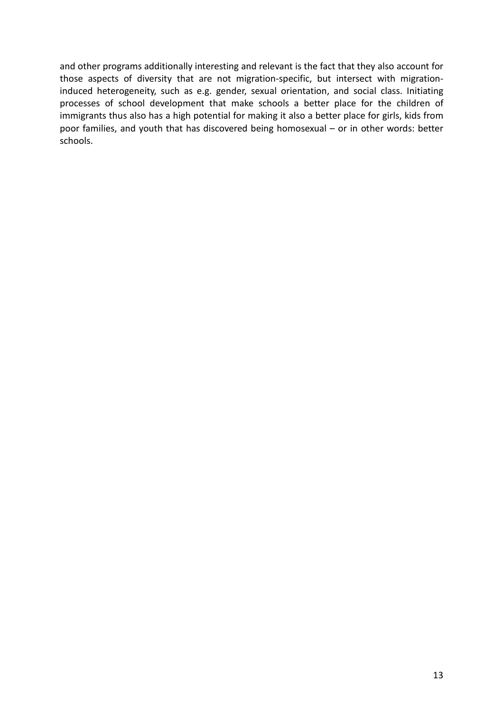and other programs additionally interesting and relevant is the fact that they also account for those aspects of diversity that are not migration-specific, but intersect with migrationinduced heterogeneity, such as e.g. gender, sexual orientation, and social class. Initiating processes of school development that make schools a better place for the children of immigrants thus also has a high potential for making it also a better place for girls, kids from poor families, and youth that has discovered being homosexual – or in other words: better schools.